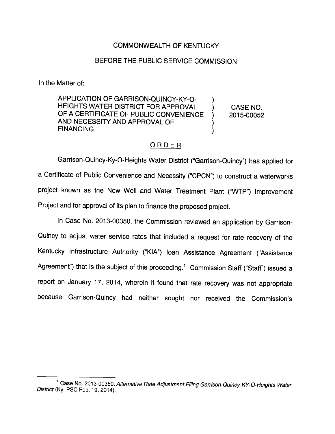## COMMONWEALTH OF KENTUCKY

## BEFORE THE PUBLIC SERVICE COMMISSION

In the Matter of:

APPLICATION OF GARRISON-QUINCY-KY-0-  $\mathcal{L}$ HEIGHTS WATER DISTRICT FOR APPROVAL ) CASE NO. OF A CERTIFICATE OF PUBLIC CONVENIENCE ) 2015-00052 AND NECESSITY AND APPROVAL OF **FINANCING** ℩

## ORDER

Garrison-Quincy-Ky-O-Heights Water District ("Garrison-Quincy") has applied for a Certificate of Public Convenience and Necessity ("CPCN") to construct a waten/vorks project known as the New Well and Water Treatment Plant ("WTP") Improvement Project and for approval of its plan to finance the proposed project.

In Case No. 2013-00350, the Commission reviewed an application by Garrison-Quincy to adjust water service rates that included a request for rate recovery of the Kentucky Infrastructure Authority ("KIA") loan Assistance Agreement ("Assistance Agreement") that is the subject of this proceeding.<sup>1</sup> Commission Staff ("Staff") issued a report on January 17, 2014, wherein it found that rate recovery was not appropriate because Garrison-Quincy had neither sought nor received the Commission's

<sup>&</sup>lt;sup>1</sup> Case No. 2013-00350, Alternative Rate Adjustment Filing Garrison-Quincy-KY-O-Heights Water District (Ky. PSC Feb. 19, 2014).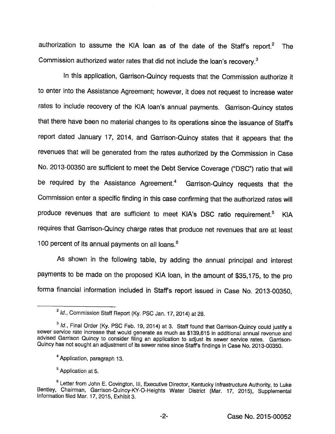authorization to assume the KIA loan as of the date of the Staff's report. $2$  The Commission authorized water rates that did not include the loan's recovery.<sup>3</sup>

in this application, Garrison-Quincy requests that the Commission authorize it to enter into the Assistance Agreement; however, it does not request to increase water rates to inciude recovery of the KIA loan's annual payments. Garrison-Quincy states that there have been no material changes to its operations since the issuance of Staffs report dated January 17, 2014, and Garrison-Quincy states that it appears that the revenues that will be generated from the rates authorized by the Commission in Case No. 2013-00350 are sufficient to meet the Debt Service Coverage ("DSC") ratio that will be required by the Assistance Agreement.<sup>4</sup> Garrison-Quincy requests that the Commission enter a specific finding in this case confirming that the authorized rates will produce revenues that are sufficient to meet KIA's DSC ratio requirement.<sup>5</sup> KIA requires that Garrison-Quincy charge rates that produce net revenues that are at least 100 percent of its annual payments on all loans.<sup>6</sup>

As shown in the foliowing table, by adding the annual principal and interest payments to be made on the proposed KIA loan, in the amount of \$35,175, to the pro forma financial information included in Staffs report issued in Case No. 2013-00350,

 $^{2}$  Id., Commission Staff Report (Ky. PSC Jan. 17, 2014) at 28.

 $^3$  Id., Final Order (Ky. PSC Feb. 19, 2014) at 3. Staff found that Garrison-Quincy could justify a sewer service rate increase that would generate as much as \$139,615 in additional annual revenue and advised Garrison Quincy to consider filing an application to adjust its sewer service rates. Garrison-Quincy has not sought an adjustment of its sewer rates since Staff's findings in Case No. 2013-00350.

<sup>&</sup>quot;Application, paragraph 13.

<sup>&</sup>lt;sup>5</sup> Application at 5.

<sup>®</sup>Letter from John E. Covington, ill. Executive Director, Kentucky infrastructure Authority, to Luke Bentley, Chairman, Garrison-Quincy-KY-Q-Heights Water District (Mar. 17, 2015), Supplemental information filed Mar. 17, 2015, Exhibit 3.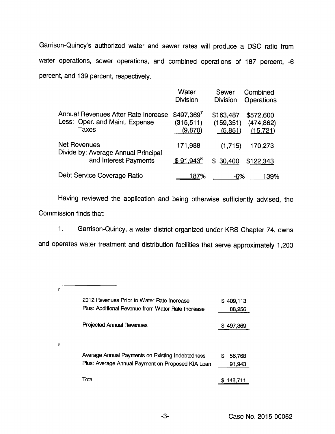Garrison-Quincy's authorized water and sewer rates will produce a DSC ratio from water operations, sewer operations, and combined operations of 187 percent, -6 percent, and 139 percent, respectively.

|                                                                                | Water<br><b>Division</b>              | <b>Sewer</b><br><b>Division</b>    | Combined<br><b>Operations</b>        |
|--------------------------------------------------------------------------------|---------------------------------------|------------------------------------|--------------------------------------|
| Annual Revenues After Rate Increase<br>Less: Oper. and Maint. Expense<br>Taxes | $$497,369^7$<br>(315, 511)<br>(9,870) | \$163,487<br>(159, 351)<br>(5,851) | \$572,600<br>(474, 862)<br>(15, 721) |
| Net Revenues<br>Divide by: Average Annual Principal<br>and Interest Payments   | 171,988                               | (1,715)                            | 170,273                              |
|                                                                                | $$91,943^8$                           | \$30,400                           | \$122,343                            |
| Debt Service Coverage Ratio                                                    | 187%                                  | <u>-6%</u>                         | <u> 139</u> %                        |

Having reviewed the application and being otherwise sufficiently advised, the Commission finds that:

1. Garrison-Quincy, a water district organized under KRS Chapter 74, owns

and operates water treatment and distribution facilities that serve approximately 1,203

| 7 |                                                   |              |
|---|---------------------------------------------------|--------------|
|   | 2012 Revenues Prior to Water Rate Increase        | \$409,113    |
|   | Plus: Additional Revenue from Water Rate Increase | 88,256       |
|   | Projected Annual Revenues                         | \$497,369    |
| 8 |                                                   |              |
|   | Average Annual Payments on Existing Indebtedness  | 56,768<br>\$ |
|   | Plus: Average Annual Payment on Proposed KIA Loan | 91,943       |
|   | Total                                             | 148.711<br>S |

 $\overline{\phantom{a}}$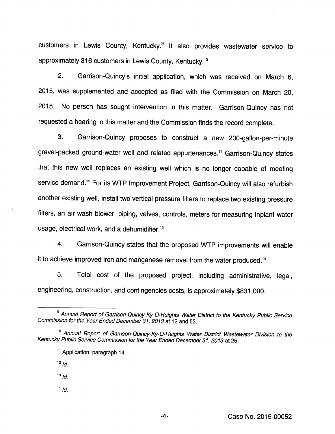customers in Lewis County, Kentucky.® it also provides wastewater service to approximately 316 customers in Lewis County, Kentucky.<sup>10</sup>

2. Garrison-Quincy's initial application, which was received on March 6, 2015, was supplemented and accepted as filed with the Commission on March 20, 2015. No person has sought intervention in this matter. Garrison-Quincy has not requested a hearing in this matter and the Commission finds the record complete.

3. Garrison-Quincy proposes to construct a new 200-gallon-per-minute gravel-packed ground-water well and related appurtenances." Garrison-Quincy states that this new well replaces an existing well which is no longer capable of meeting service demand.<sup>12</sup> For its WTP Improvement Project, Garrison-Quincy will also refurbish another existing well, install two vertical pressure filters to replace two existing pressure filters, an air wash blower, piping, valves, controls, meters for measuring inplant water usage, electrical work, and a dehumidifier. $1<sup>3</sup>$ 

4. Garrison-Quincy states that the proposed WTP improvements will enable it to achieve improved iron and manganese removal from the water produced."

5. Total cost of the proposed project, including administrative, legal, engineering, construction, and contingencies costs, is approximately \$831,000.

 $13$   $ld$ .

 $14$  Id.

<sup>&</sup>lt;sup>9</sup> Annual Report of Garrison-Quincy-Ky-O-Heights Water District to the Kentucky Public Service Commission for the Year Ended December 31, 2013 at 12 and 53.

<sup>&</sup>lt;sup>10</sup> Annual Report of Garrison-Quincy-Ky-O-Heights Water District Wastewater Division to the Kentucky Public Service Commission for the Year Ended December 31, 2013 at 25.

<sup>&</sup>lt;sup>11</sup> Application, paragraph 14.

 $12$   $ld.$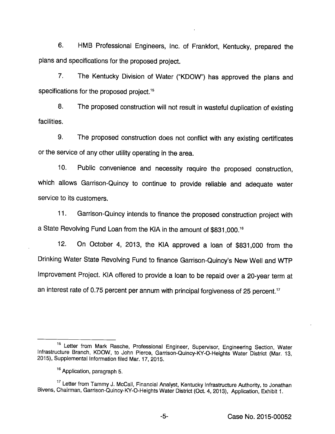6. HMB Professional Engineers, inc. of Frankfort, Kentucky, prepared the plans and specifications for the proposed project.

7. The Kentucky Division of Water ("KDOW") has approved the plans and specifications for the proposed project.<sup>15</sup>

8. The proposed construction will not result in wasteful duplication of existing facilities.

9. The proposed construction does not conflict with any existing certificates or the service of any other utility operating in the area.

10. Public convenience and necessity require the proposed construction, which allows Garrison-Quincy to continue to provide reliable and adequate water service to its customers.

11. Garrison-Quincy intends to finance the proposed construction project with a State Revolving Fund Loan from the KIA in the amount of \$831,000.<sup>16</sup>

12. On October 4, 2013, the KiA approved a loan of \$831,000 from the Drinking Water State Revolving Fund to finance Garrison-Ouincy's New Weil and WTP Improvement Project. KIA offered to provide a loan to be repaid over a 20-year term at an interest rate of 0.75 percent per annum with principal forgiveness of 25 percent.<sup>17</sup>

<sup>&</sup>lt;sup>15</sup> Letter from Mark Rasche, Professional Engineer, Supervisor, Engineering Section, Water Infrastructure Branch, KDOW, to John Pierce, Garrison-Quincy-KY-O-Heights Water District (Mar. 13, 2015), Supplemental information filed Mar. 17, 2015.

<sup>&</sup>lt;sup>16</sup> Application, paragraph 5.

<sup>&</sup>lt;sup>17</sup> Letter from Tammy J. McCail, Financial Analyst, Kentucky Infrastructure Authority, to Jonathan Bivens, Chairman, Garrison-Quincy-KY-O-Heights Water District (Oct. 4, 2013), Application, Exhibit 1.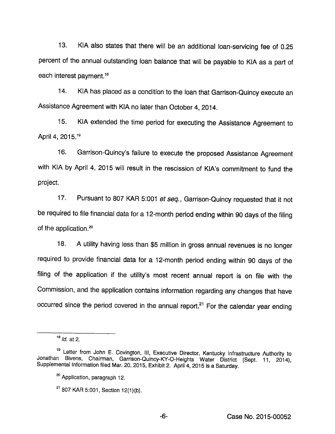13. KIA also states that there will be an additional loan-servicing fee of 0.25 percent of the annual outstanding loan balance that will be payable to KIA as a part of each interest payment.<sup>18</sup>

14. KIA has placed as a condition to the loan that Garrison-Quincy execute an Assistance Agreement with KIA no later than October 4, 2014.

15. KIA extended the time period for executing the Assistance Agreement to April 4, 2015.'®

16. Garrison-Quincy's failure to execute the proposed Assistance Agreement with KIA by April 4, 2015 will result in the rescission of KIA's commitment to fund the project.

17. Pursuant to 807 KAR 5:001 et seq., Garrison-Quincy requested that it not be required to file financial data for a 12-month period ending within 90 days of the filing of the application.<sup>20</sup>

18. A utility having less than \$5 million in gross annual revenues is no longer required to provide financial data for a 12-month period ending within 90 days of the filing of the application if the utility's most recent annual report is on file with the Commission, and the application contains information regarding any changes that have occurred since the period covered in the annual report. $21$  For the calendar year ending

 $18$  *Id.* at 2.

<sup>&</sup>lt;sup>19</sup> Letter from John E. Covington, III, Executive Director, Kentucky Infrastructure Authority to Jonathan Blvens, Chairman, Garrison-Qulncy-KY-O-Helghts Water District (Sept. 11, 2014), Supplemental Information filed Mar. 20, 2015, Exhibit 2. April 4, 2015 is a Saturday.

<sup>&</sup>lt;sup>20</sup> Application, paragraph 12.

 $21$  807 KAR 5:001, Section 12(1)(b).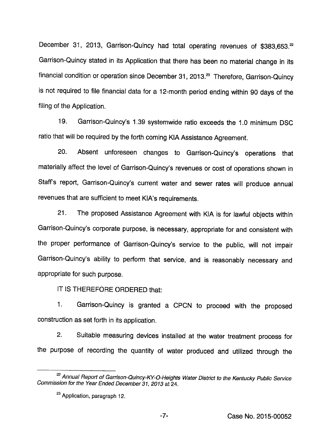December 31, 2013, Garrison-Quincy had total operating revenues of \$383,653.<sup>22</sup> Garrison-Quincy stated in its Application that there has been no material change in its financial condition or operation since December 31, 2013.<sup>23</sup> Therefore, Garrison-Quincy is not required to file financial data for a 12-month period ending within 90 days of the filing of the Application.

19. Garrison-Quincy's 1.39 systemwide ratio exceeds the 1.0 minimum DSC ratio that will be required by the forth coming KIA Assistance Agreement.

20. Absent unforeseen changes to Garrison-Quincy's operations that materially affect the level of Garrison-Quincy's revenues or cost of operations shown in Staffs report, Garrison-Quincy's current water and sewer rates will produce annual revenues that are sufficient to meet KIA's requirements.

21. The proposed Assistance Agreement with KIA isfor lawful objects within Garrison-Quincy's corporate purpose, is necessary, appropriate for and consistent with the proper performance of Garrison-Quincy's service to the public, will not impair Garrison-Quincy's ability to perform that service, and is reasonably necessary and appropriate for such purpose.

IT IS THEREFORE ORDERED that:

1. Garrison-Quincy is granted a CPCN to proceed with the proposed construction as set forth in its application.

2. Suitable measuring devices installed at the water treatment process for the purpose of recording the quantity of water produced and utilized through the

<sup>&</sup>lt;sup>22</sup> Annual Report of Garrison-Quincy-KY-O-Heights Water District to the Kentucky Public Service Commission for the Year Ended December 31, 2013 at 24.

<sup>&</sup>lt;sup>23</sup> Application, paragraph 12.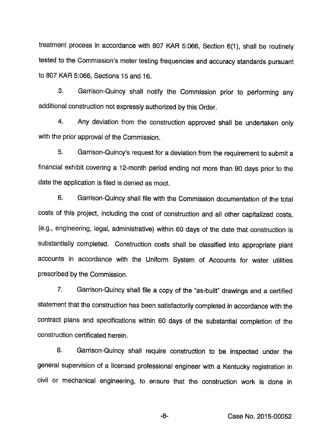treatment process in accordance with 807 KAR 5:066, Section 6(1), shall be routinely tested to the Commission's meter testing frequencies and accuracy standards pursuant to 807 KAR 5:066, Sections 15 and 16.

3. Garrison-Quincy shall notify the Commission prior to performing any additional construction not expressly authorized by this Order.

4. Any deviation from the construction approved shall be undertaken only with the prior approval of the Commission.

5. Garrison-Quincy's request for a deviation from the requirement to submita financial exhibit covering a 12-month period ending not more than 90 days prior to the date the application is filed is denied as moot.

6. Garrison-Quincy shall file with the Commission documentation of the total costs of this project, including the cost of construction and all other capitalized costs, (e.g., engineering, legal, administrative) within 60 days of the date that construction is substantially completed. Construction costs shall be classified into appropriate plant accounts in accordance with the Uniform System of Accounts for water utilities prescribed by the Commission.

7. Garrison-Quincy shall file a copy of the "as-built" drawings and a certified statement that the construction has been satisfactorily completed in accordance with the contract plans and specifications within 60 days of the substantial completion of the construction certificated herein.

8. Garrison-Quincy shall require construction to be inspected under the general supervision of a licensed professional engineer with a Kentucky registration in civil or mechanical engineering, to ensure that the construction work is done in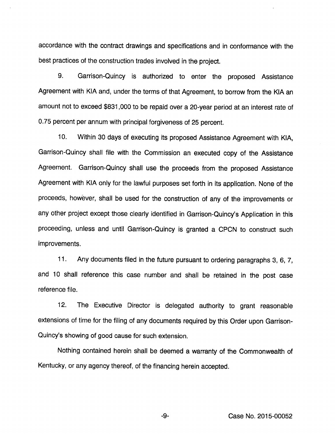accordance with the contract drawings and specifications and in conformance with the best practices of the construction trades involved in the project.

9. Garrison-Quincy is authorized to enter the proposed Assistance Agreement with KiA and, under the terms of that Agreement, to borrow from the KiA an amount not to exceed \$831,000 to be repaid over a 20-year period at an interest rate of 0.75 percent per annum with principai forgiveness of 25 percent.

10. Within 30 days of executing its proposed Assistance Agreement with KIA, Garrison-Quincy shall file with the Commission an executed copy of the Assistance Agreement. Garrison-Quincy shall use the proceeds from the proposed Assistance Agreement with KIA only for the lawful purposes set forth in its application. None of the proceeds, however, shall be used for the construction of any of the improvements or any other project except those clearly identified in Garrison-Quincy's Application in this proceeding, unless and until Garrison-Quincy is granted a CPCN to construct such improvements.

11. Any documents filed in the future pursuant to ordering paragraphs 3, 6, 7, and 10 shaii reference this case number and shall be retained in the post case reference file.

12. The Executive Director is delegated authority to grant reasonable extensions of time for the filing of any documents required by this Order upon Garrison-Quincy's showing of good cause for such extension.

Nothing contained herein shaii be deemed a warranty of the Commonwealth of Kentucky, or any agency thereof, of the financing herein accepted.

-9- Case No. 2015-00052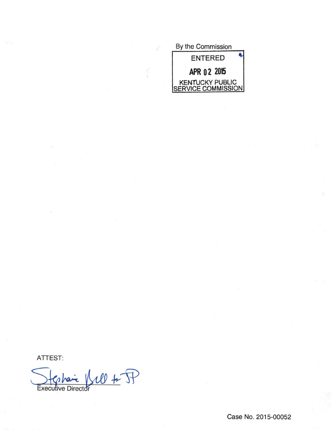| By the Commission                     |
|---------------------------------------|
| <b>ENTERED</b>                        |
| APR 02 2015                           |
| KENTUCKY PUBLIC<br>SERVICE COMMISSION |

ATTEST:

Stephanie Will + P

Case No. 2015-00052